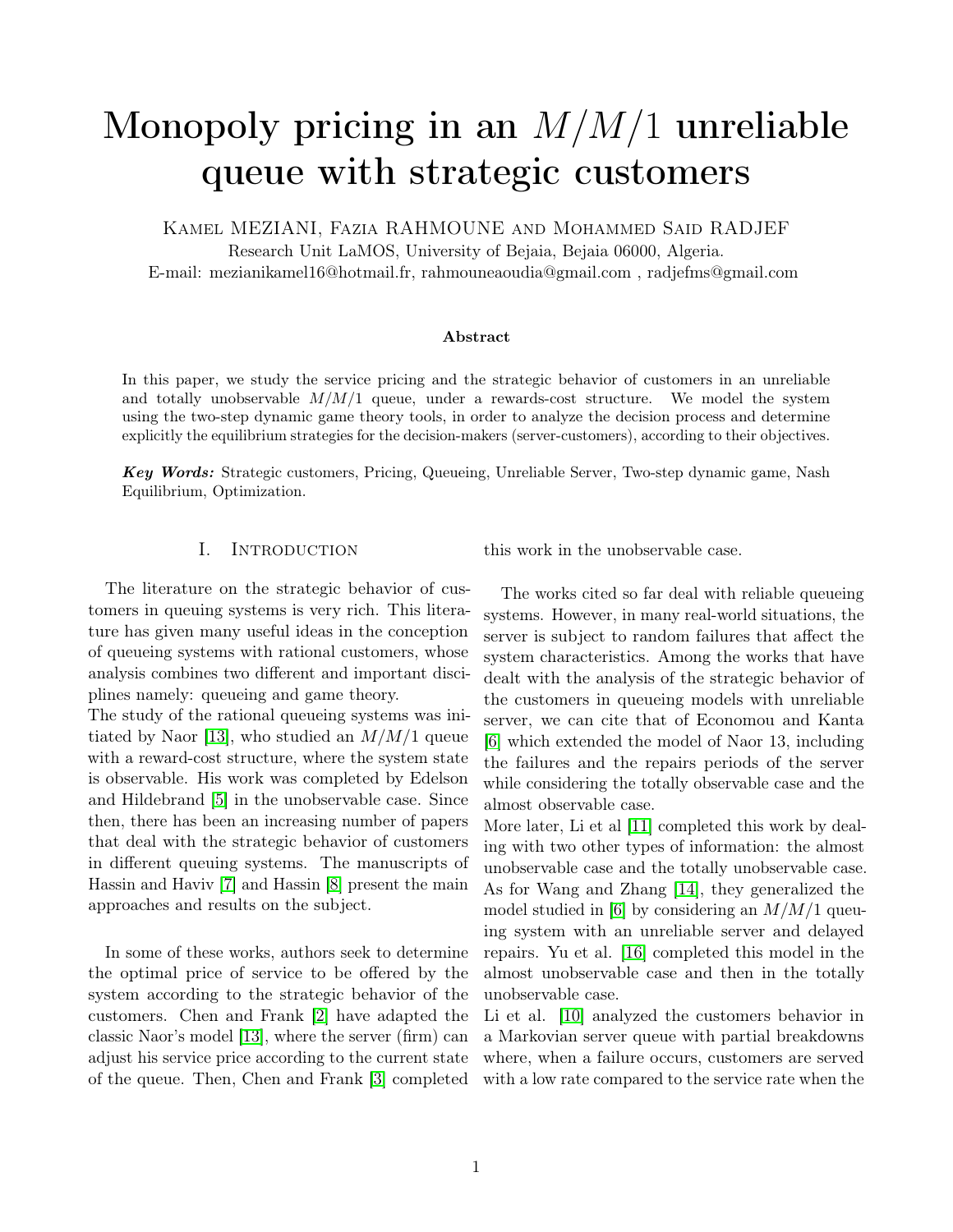# Monopoly pricing in an  $M/M/1$  unreliable queue with strategic customers

Kamel MEZIANI, Fazia RAHMOUNE and Mohammed Said RADJEF Research Unit LaMOS, University of Bejaia, Bejaia 06000, Algeria. E-mail: mezianikamel16@hotmail.fr, rahmouneaoudia@gmail.com , radjefms@gmail.com

#### Abstract

In this paper, we study the service pricing and the strategic behavior of customers in an unreliable and totally unobservable  $M/M/1$  queue, under a rewards-cost structure. We model the system using the two-step dynamic game theory tools, in order to analyze the decision process and determine explicitly the equilibrium strategies for the decision-makers (server-customers), according to their objectives.

Key Words: Strategic customers, Pricing, Queueing, Unreliable Server, Two-step dynamic game, Nash Equilibrium, Optimization.

## I. INTRODUCTION

The literature on the strategic behavior of customers in queuing systems is very rich. This literature has given many useful ideas in the conception of queueing systems with rational customers, whose analysis combines two different and important disciplines namely: queueing and game theory.

The study of the rational queueing systems was ini-tiated by Naor [\[13\]](#page-3-0), who studied an  $M/M/1$  queue with a reward-cost structure, where the system state is observable. His work was completed by Edelson and Hildebrand [\[5\]](#page-2-0) in the unobservable case. Since then, there has been an increasing number of papers that deal with the strategic behavior of customers in different queuing systems. The manuscripts of Hassin and Haviv [\[7\]](#page-3-1) and Hassin [\[8\]](#page-3-2) present the main approaches and results on the subject.

In some of these works, authors seek to determine the optimal price of service to be offered by the system according to the strategic behavior of the customers. Chen and Frank [\[2\]](#page-2-1) have adapted the classic Naor's model [\[13\]](#page-3-0), where the server (firm) can adjust his service price according to the current state of the queue. Then, Chen and Frank [\[3\]](#page-2-2) completed

this work in the unobservable case.

The works cited so far deal with reliable queueing systems. However, in many real-world situations, the server is subject to random failures that affect the system characteristics. Among the works that have dealt with the analysis of the strategic behavior of the customers in queueing models with unreliable server, we can cite that of Economou and Kanta [\[6\]](#page-3-3) which extended the model of Naor 13, including the failures and the repairs periods of the server while considering the totally observable case and the almost observable case.

More later, Li et al [\[11\]](#page-3-4) completed this work by dealing with two other types of information: the almost unobservable case and the totally unobservable case. As for Wang and Zhang [\[14\]](#page-3-5), they generalized the model studied in [\[6\]](#page-3-3) by considering an  $M/M/1$  queuing system with an unreliable server and delayed repairs. Yu et al. [\[16\]](#page-3-6) completed this model in the almost unobservable case and then in the totally unobservable case.

Li et al. [\[10\]](#page-3-7) analyzed the customers behavior in a Markovian server queue with partial breakdowns where, when a failure occurs, customers are served with a low rate compared to the service rate when the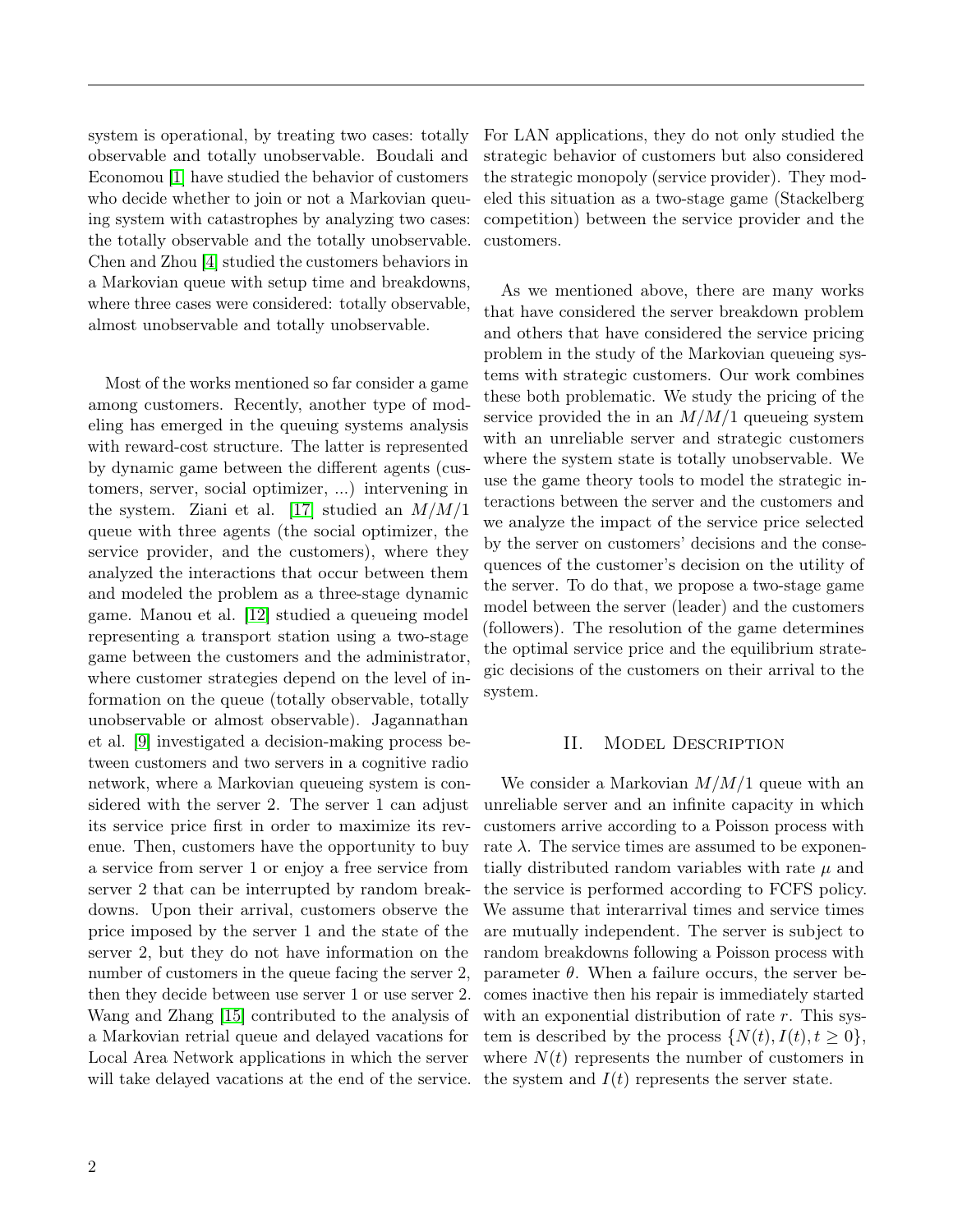system is operational, by treating two cases: totally observable and totally unobservable. Boudali and Economou [\[1\]](#page-2-3) have studied the behavior of customers who decide whether to join or not a Markovian queuing system with catastrophes by analyzing two cases: the totally observable and the totally unobservable. Chen and Zhou [\[4\]](#page-2-4) studied the customers behaviors in a Markovian queue with setup time and breakdowns, where three cases were considered: totally observable, almost unobservable and totally unobservable.

Most of the works mentioned so far consider a game among customers. Recently, another type of modeling has emerged in the queuing systems analysis with reward-cost structure. The latter is represented by dynamic game between the different agents (customers, server, social optimizer, ...) intervening in the system. Ziani et al. [\[17\]](#page-3-8) studied an  $M/M/1$ queue with three agents (the social optimizer, the service provider, and the customers), where they analyzed the interactions that occur between them and modeled the problem as a three-stage dynamic game. Manou et al. [\[12\]](#page-3-9) studied a queueing model representing a transport station using a two-stage game between the customers and the administrator, where customer strategies depend on the level of information on the queue (totally observable, totally unobservable or almost observable). Jagannathan et al. [\[9\]](#page-3-10) investigated a decision-making process between customers and two servers in a cognitive radio network, where a Markovian queueing system is considered with the server 2. The server 1 can adjust its service price first in order to maximize its revenue. Then, customers have the opportunity to buy a service from server 1 or enjoy a free service from server 2 that can be interrupted by random breakdowns. Upon their arrival, customers observe the price imposed by the server 1 and the state of the server 2, but they do not have information on the number of customers in the queue facing the server 2, then they decide between use server 1 or use server 2. Wang and Zhang [\[15\]](#page-3-11) contributed to the analysis of a Markovian retrial queue and delayed vacations for Local Area Network applications in which the server will take delayed vacations at the end of the service. the system and  $I(t)$  represents the server state.

For LAN applications, they do not only studied the strategic behavior of customers but also considered the strategic monopoly (service provider). They modeled this situation as a two-stage game (Stackelberg competition) between the service provider and the customers.

As we mentioned above, there are many works that have considered the server breakdown problem and others that have considered the service pricing problem in the study of the Markovian queueing systems with strategic customers. Our work combines these both problematic. We study the pricing of the service provided the in an  $M/M/1$  queueing system with an unreliable server and strategic customers where the system state is totally unobservable. We use the game theory tools to model the strategic interactions between the server and the customers and we analyze the impact of the service price selected by the server on customers' decisions and the consequences of the customer's decision on the utility of the server. To do that, we propose a two-stage game model between the server (leader) and the customers (followers). The resolution of the game determines the optimal service price and the equilibrium strategic decisions of the customers on their arrival to the system.

## II. Model Description

We consider a Markovian  $M/M/1$  queue with an unreliable server and an infinite capacity in which customers arrive according to a Poisson process with rate  $\lambda$ . The service times are assumed to be exponentially distributed random variables with rate  $\mu$  and the service is performed according to FCFS policy. We assume that interarrival times and service times are mutually independent. The server is subject to random breakdowns following a Poisson process with parameter  $\theta$ . When a failure occurs, the server becomes inactive then his repair is immediately started with an exponential distribution of rate  $r$ . This system is described by the process  $\{N(t), I(t), t \geq 0\},\$ where  $N(t)$  represents the number of customers in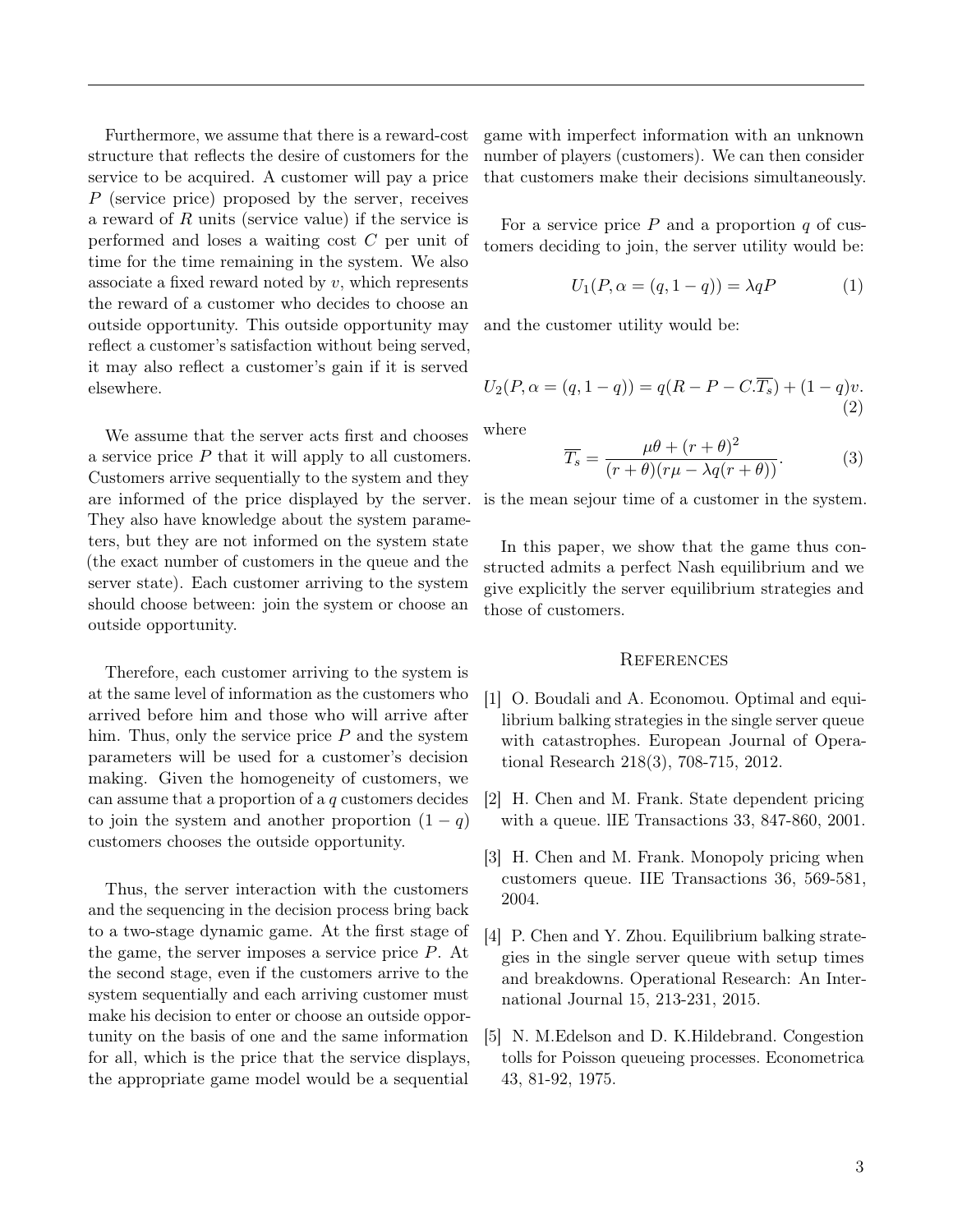Furthermore, we assume that there is a reward-cost structure that reflects the desire of customers for the service to be acquired. A customer will pay a price P (service price) proposed by the server, receives a reward of R units (service value) if the service is performed and loses a waiting cost C per unit of time for the time remaining in the system. We also associate a fixed reward noted by  $v$ , which represents the reward of a customer who decides to choose an outside opportunity. This outside opportunity may reflect a customer's satisfaction without being served, it may also reflect a customer's gain if it is served elsewhere.

We assume that the server acts first and chooses a service price P that it will apply to all customers. Customers arrive sequentially to the system and they are informed of the price displayed by the server. They also have knowledge about the system parameters, but they are not informed on the system state (the exact number of customers in the queue and the server state). Each customer arriving to the system should choose between: join the system or choose an outside opportunity.

Therefore, each customer arriving to the system is at the same level of information as the customers who arrived before him and those who will arrive after him. Thus, only the service price  $P$  and the system parameters will be used for a customer's decision making. Given the homogeneity of customers, we can assume that a proportion of a q customers decides to join the system and another proportion  $(1 - q)$ customers chooses the outside opportunity.

Thus, the server interaction with the customers and the sequencing in the decision process bring back to a two-stage dynamic game. At the first stage of the game, the server imposes a service price P. At the second stage, even if the customers arrive to the system sequentially and each arriving customer must make his decision to enter or choose an outside opportunity on the basis of one and the same information for all, which is the price that the service displays, the appropriate game model would be a sequential

game with imperfect information with an unknown number of players (customers). We can then consider that customers make their decisions simultaneously.

For a service price  $P$  and a proportion  $q$  of customers deciding to join, the server utility would be:

$$
U_1(P, \alpha = (q, 1-q)) = \lambda q P \tag{1}
$$

and the customer utility would be:

$$
U_2(P, \alpha = (q, 1-q)) = q(R - P - C.\overline{T_s}) + (1-q)v.
$$
\n(2)

where

$$
\overline{T_s} = \frac{\mu\theta + (r+\theta)^2}{(r+\theta)(r\mu - \lambda q(r+\theta))}.
$$
 (3)

is the mean sejour time of a customer in the system.

In this paper, we show that the game thus constructed admits a perfect Nash equilibrium and we give explicitly the server equilibrium strategies and those of customers.

### **REFERENCES**

- <span id="page-2-3"></span>[1] O. Boudali and A. Economou. Optimal and equilibrium balking strategies in the single server queue with catastrophes. European Journal of Operational Research 218(3), 708-715, 2012.
- <span id="page-2-1"></span>[2] H. Chen and M. Frank. State dependent pricing with a queue. lIE Transactions 33, 847-860, 2001.
- <span id="page-2-2"></span>[3] H. Chen and M. Frank. Monopoly pricing when customers queue. IIE Transactions 36, 569-581, 2004.
- <span id="page-2-4"></span>[4] P. Chen and Y. Zhou. Equilibrium balking strategies in the single server queue with setup times and breakdowns. Operational Research: An International Journal 15, 213-231, 2015.
- <span id="page-2-0"></span>[5] N. M.Edelson and D. K.Hildebrand. Congestion tolls for Poisson queueing processes. Econometrica 43, 81-92, 1975.